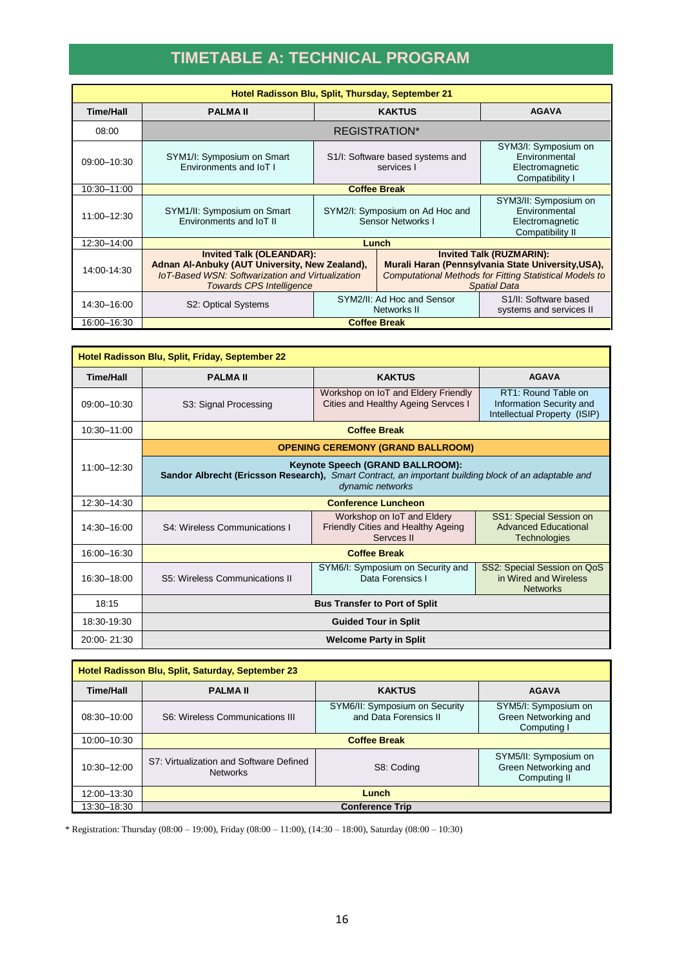## **TIMETABLE A: TECHNICAL PROGRAM**

| Hotel Radisson Blu, Split, Thursday, September 21 |                                                                                                                                                                                 |                                                      |                                                                                                                                                                                |                                                                               |
|---------------------------------------------------|---------------------------------------------------------------------------------------------------------------------------------------------------------------------------------|------------------------------------------------------|--------------------------------------------------------------------------------------------------------------------------------------------------------------------------------|-------------------------------------------------------------------------------|
| <b>Time/Hall</b>                                  | <b>PALMAII</b>                                                                                                                                                                  | <b>KAKTUS</b>                                        |                                                                                                                                                                                | <b>AGAVA</b>                                                                  |
| 08:00                                             | REGISTRATION*                                                                                                                                                                   |                                                      |                                                                                                                                                                                |                                                                               |
| 09:00-10:30                                       | SYM1/I: Symposium on Smart<br>Environments and IoT I                                                                                                                            | S1/I: Software based systems and<br>services I       |                                                                                                                                                                                | SYM3/I: Symposium on<br>Environmental<br>Electromagnetic<br>Compatibility I   |
| 10:30-11:00                                       | <b>Coffee Break</b>                                                                                                                                                             |                                                      |                                                                                                                                                                                |                                                                               |
| 11:00-12:30                                       | SYM1/II: Symposium on Smart<br>Environments and IoT II                                                                                                                          | SYM2/I: Symposium on Ad Hoc and<br>Sensor Networks I |                                                                                                                                                                                | SYM3/II: Symposium on<br>Environmental<br>Electromagnetic<br>Compatibility II |
| 12:30-14:00                                       | Lunch                                                                                                                                                                           |                                                      |                                                                                                                                                                                |                                                                               |
| 14:00-14:30                                       | <b>Invited Talk (OLEANDAR):</b><br>Adnan Al-Anbuky (AUT University, New Zealand),<br><b>IoT-Based WSN: Softwarization and Virtualization</b><br><b>Towards CPS Intelligence</b> |                                                      | <b>Invited Talk (RUZMARIN):</b><br>Murali Haran (Pennsylvania State University, USA),<br><b>Computational Methods for Fitting Statistical Models to</b><br><b>Spatial Data</b> |                                                                               |
| 14:30-16:00                                       | S2: Optical Systems                                                                                                                                                             | SYM2/II: Ad Hoc and Sensor<br>Networks II            |                                                                                                                                                                                | S <sub>1</sub> /II: Software based<br>systems and services II                 |
| 16:00-16:30                                       | <b>Coffee Break</b>                                                                                                                                                             |                                                      |                                                                                                                                                                                |                                                                               |

| Hotel Radisson Blu, Split, Friday, September 22 |                                                                                                                                                              |                                                                                |                                                                                 |  |
|-------------------------------------------------|--------------------------------------------------------------------------------------------------------------------------------------------------------------|--------------------------------------------------------------------------------|---------------------------------------------------------------------------------|--|
| <b>Time/Hall</b>                                | <b>PALMAII</b>                                                                                                                                               | <b>KAKTUS</b><br><b>AGAVA</b>                                                  |                                                                                 |  |
| 09:00-10:30                                     | S3: Signal Processing                                                                                                                                        | Workshop on IoT and Eldery Friendly<br>Cities and Healthy Ageing Servces I     | RT1: Round Table on<br>Information Security and<br>Intellectual Property (ISIP) |  |
| 10:30-11:00                                     | <b>Coffee Break</b>                                                                                                                                          |                                                                                |                                                                                 |  |
|                                                 | <b>OPENING CEREMONY (GRAND BALLROOM)</b>                                                                                                                     |                                                                                |                                                                                 |  |
| 11:00-12:30                                     | Keynote Speech (GRAND BALLROOM):<br>Sandor Albrecht (Ericsson Research), Smart Contract, an important building block of an adaptable and<br>dynamic networks |                                                                                |                                                                                 |  |
| 12:30-14:30                                     | <b>Conference Luncheon</b>                                                                                                                                   |                                                                                |                                                                                 |  |
| 14:30-16:00                                     | S4: Wireless Communications I                                                                                                                                | Workshop on IoT and Eldery<br>Friendly Cities and Healthy Ageing<br>Servces II | SS1: Special Session on<br><b>Advanced Educational</b><br><b>Technologies</b>   |  |
| 16:00-16:30                                     | <b>Coffee Break</b>                                                                                                                                          |                                                                                |                                                                                 |  |
| 16:30-18:00                                     | S5: Wireless Communications II                                                                                                                               | SYM6/I: Symposium on Security and<br>Data Forensics I                          | SS2: Special Session on QoS<br>in Wired and Wireless<br><b>Networks</b>         |  |
| 18:15                                           | <b>Bus Transfer to Port of Split</b>                                                                                                                         |                                                                                |                                                                                 |  |
| 18:30-19:30                                     | <b>Guided Tour in Split</b>                                                                                                                                  |                                                                                |                                                                                 |  |
| 20:00-21:30                                     | <b>Welcome Party in Split</b>                                                                                                                                |                                                                                |                                                                                 |  |

| Hotel Radisson Blu, Split, Saturday, September 23 |                                                            |                                                         |                                                               |
|---------------------------------------------------|------------------------------------------------------------|---------------------------------------------------------|---------------------------------------------------------------|
| <b>Time/Hall</b>                                  | <b>PALMAII</b>                                             | <b>KAKTUS</b>                                           | <b>AGAVA</b>                                                  |
| 08:30-10:00                                       | S6: Wireless Communications III                            | SYM6/II: Symposium on Security<br>and Data Forensics II | SYM5/I: Symposium on<br>Green Networking and<br>Computing I   |
| 10:00-10:30                                       | <b>Coffee Break</b>                                        |                                                         |                                                               |
| 10:30-12:00                                       | S7: Virtualization and Software Defined<br><b>Networks</b> | S8: Coding                                              | SYM5/II: Symposium on<br>Green Networking and<br>Computing II |
| 12:00-13:30                                       | Lunch                                                      |                                                         |                                                               |
| 13:30-18:30                                       | <b>Conference Trip</b>                                     |                                                         |                                                               |

\* Registration: Thursday (08:00 – 19:00), Friday (08:00 – 11:00), (14:30 – 18:00), Saturday (08:00 – 10:30)